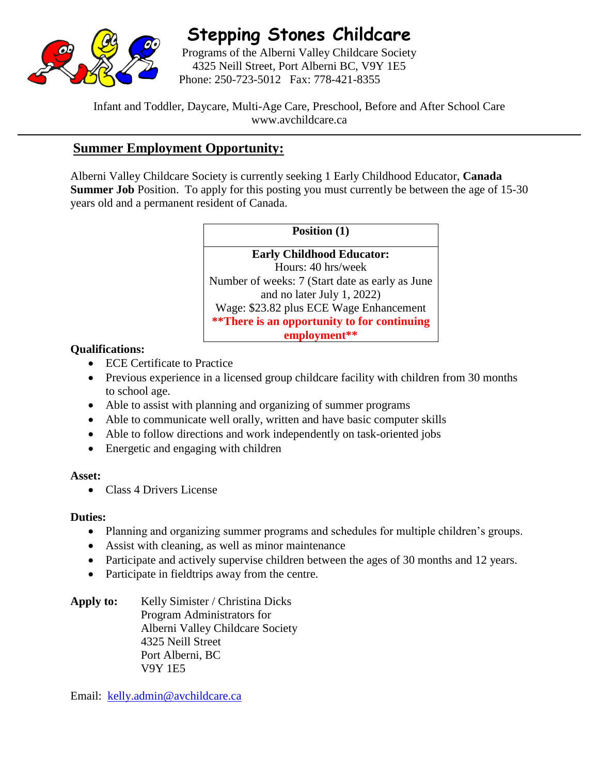

# **Stepping Stones Childcare**

Programs of the Alberni Valley Childcare Society 4325 Neill Street, Port Alberni BC, V9Y 1E5 Phone: 250-723-5012 Fax: 778-421-8355

Infant and Toddler, Daycare, Multi-Age Care, Preschool, Before and After School Care www.avchildcare.ca

# **Summer Employment Opportunity:**

Alberni Valley Childcare Society is currently seeking 1 Early Childhood Educator, **Canada Summer Job** Position. To apply for this posting you must currently be between the age of 15-30 years old and a permanent resident of Canada.

**Position (1)**

**Early Childhood Educator:** Hours: 40 hrs/week Number of weeks: 7 (Start date as early as June and no later July 1, 2022) Wage: \$23.82 plus ECE Wage Enhancement **\*\*There is an opportunity to for continuing employment\*\***

## **Qualifications:**

- ECE Certificate to Practice
- Previous experience in a licensed group childcare facility with children from 30 months to school age.
- Able to assist with planning and organizing of summer programs
- Able to communicate well orally, written and have basic computer skills
- Able to follow directions and work independently on task-oriented jobs
- Energetic and engaging with children

### **Asset:**

• Class 4 Drivers License

### **Duties:**

- Planning and organizing summer programs and schedules for multiple children's groups.
- Assist with cleaning, as well as minor maintenance
- Participate and actively supervise children between the ages of 30 months and 12 years.
- Participate in field trips away from the centre.

Apply to: Kelly Simister / Christina Dicks Program Administrators for Alberni Valley Childcare Society 4325 Neill Street Port Alberni, BC V9Y 1E5

Email: [kelly.admin@avchildcare.ca](mailto:kelly.admin@avchildcare.ca)